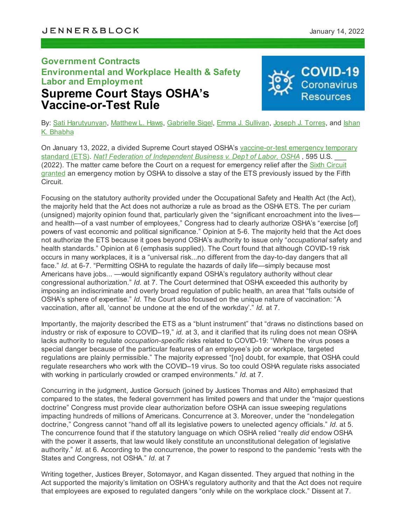# **Government Contracts Environmental and Workplace Health & Safety Labor and Employment Supreme Court Stays OSHA's Vaccine-or-Test Rule**



By: Sati [Harutyunyan,](https://jenner.com/people/IshanBhabha) [Matthew](https://jenner.com/people/MatthewHaws) L. Haws, [Gabrielle](https://jenner.com/people/GabrielleSigel) Sigel, Emma J. [Sullivan](https://jenner.com/people/EmmaSullivan), [Joseph](https://jenner.com/people/JosephTorres) J. Torres, and Ishan K. Bhabha

On January 13, 2022, a divided Supreme Court stayed OSHA's [vaccine-or-test](https://www.govinfo.gov/content/pkg/FR-2021-11-05/pdf/2021-23643.pdf) emergency temporary standard (ETS). *Nat'l Federation of [Independent](https://www.supremecourt.gov/opinions/21pdf/21a244_hgci.pdf) Business v. Dep't of Labor, OSHA* , 595 U.S. \_\_\_ (2022). The matter came before the Court on a request for [emergency](https://www.opn.ca6.uscourts.gov/opinions.pdf/21a0287p-06.pdf) relief after the Sixth Circuit granted an emergency motion by OSHA to dissolve a stay of the ETS previously issued by the Fifth Circuit.

Focusing on the statutory authority provided under the Occupational Safety and Health Act (the Act), the majority held that the Act does not authorize a rule as broad as the OSHA ETS. The per curiam (unsigned) majority opinion found that, particularly given the "significant encroachment into the lives and health—of a vast number of employees," Congress had to clearly authorize OSHA's "exercise [of] powers of vast economic and political significance." Opinion at 5-6. The majority held that the Act does not authorize the ETS because it goes beyond OSHA's authority to issue only "*occupational* safety and health standards." Opinion at 6 (emphasis supplied). The Court found that although COVID-19 risk occurs in many workplaces, it is a "universal risk...no different from the day-to-day dangers that all face." *Id.* at 6-7. "Permitting OSHA to regulate the hazards of daily life—simply because most Americans have jobs... —would significantly expand OSHA's regulatory authority without clear congressional authorization." *Id.* at 7. The Court determined that OSHA exceeded this authority by imposing an indiscriminate and overly broad regulation of public health, an area that "falls outside of OSHA's sphere of expertise." *Id.* The Court also focused on the unique nature of vaccination: "A vaccination, after all, 'cannot be undone at the end of the workday'." *Id.* at 7.

Importantly, the majority described the ETS as a "blunt instrument" that "draws no distinctions based on industry or risk of exposure to COVID–19," *id.* at 3, and it clarified that its ruling does not mean OSHA lacks authority to regulate *occupation-specific* risks related to COVID-19: "Where the virus poses a special danger because of the particular features of an employee's job or workplace, targeted regulations are plainly permissible." The majority expressed "[no] doubt, for example, that OSHA could regulate researchers who work with the COVID–19 virus. So too could OSHA regulate risks associated with working in particularly crowded or cramped environments." *Id.* at 7.

Concurring in the judgment, Justice Gorsuch (joined by Justices Thomas and Alito) emphasized that compared to the states, the federal government has limited powers and that under the "major questions doctrine" Congress must provide clear authorization before OSHA can issue sweeping regulations impacting hundreds of millions of Americans. Concurrence at 3. Moreover, under the "nondelegation doctrine," Congress cannot "hand off all its legislative powers to unelected agency officials." *Id.* at 5. The concurrence found that if the statutory language on which OSHA relied "really *did* endow OSHA with the power it asserts, that law would likely constitute an unconstitutional delegation of legislative authority." *Id.* at 6. According to the concurrence, the power to respond to the pandemic "rests with the States and Congress, not OSHA." *Id.* at 7

Writing together, Justices Breyer, Sotomayor, and Kagan dissented. They argued that nothing in the Act supported the majority's limitation on OSHA's regulatory authority and that the Act does not require that employees are exposed to regulated dangers "only while on the workplace clock." Dissent at 7.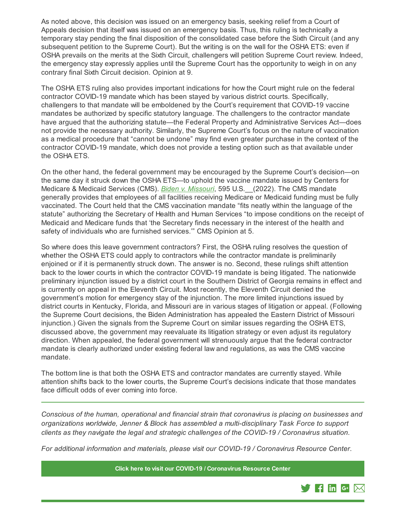As noted above, this decision was issued on an emergency basis, seeking relief from a Court of Appeals decision that itself was issued on an emergency basis. Thus, this ruling is technically a temporary stay pending the final disposition of the consolidated case before the Sixth Circuit (and any subsequent petition to the Supreme Court). But the writing is on the wall for the OSHA ETS: even if OSHA prevails on the merits at the Sixth Circuit, challengers will petition Supreme Court review. Indeed, the emergency stay expressly applies until the Supreme Court has the opportunity to weigh in on any contrary final Sixth Circuit decision. Opinion at 9.

The OSHA ETS ruling also provides important indications for how the Court might rule on the federal contractor COVID-19 mandate which has been stayed by various district courts. Specifically, challengers to that mandate will be emboldened by the Court's requirement that COVID-19 vaccine mandates be authorized by specific statutory language. The challengers to the contractor mandate have argued that the authorizing statute—the Federal Property and Administrative Services Act—does not provide the necessary authority. Similarly, the Supreme Court's focus on the nature of vaccination as a medical procedure that "cannot be undone" may find even greater purchase in the context of the contractor COVID-19 mandate, which does not provide a testing option such as that available under the OSHA ETS.

On the other hand, the federal government may be encouraged by the Supreme Court's decision—on the same day it struck down the OSHA ETS—to uphold the vaccine mandate issued by Centers for Medicare & Medicaid Services (CMS). *Biden v. [Missouri](https://www.supremecourt.gov/opinions/21pdf/21a240_d18e.pdf)*, 595 U.S.\_\_(2022). The CMS mandate generally provides that employees of all facilities receiving Medicare or Medicaid funding must be fully vaccinated. The Court held that the CMS vaccination mandate "fits neatly within the language of the statute" authorizing the Secretary of Health and Human Services "to impose conditions on the receipt of Medicaid and Medicare funds that 'the Secretary finds necessary in the interest of the health and safety of individuals who are furnished services.'" CMS Opinion at 5.

So where does this leave government contractors? First, the OSHA ruling resolves the question of whether the OSHA ETS could apply to contractors while the contractor mandate is preliminarily enjoined or if it is permanently struck down. The answer is no. Second, these rulings shift attention back to the lower courts in which the contractor COVID-19 mandate is being litigated. The nationwide preliminary injunction issued by a district court in the Southern District of Georgia remains in effect and is currently on appeal in the Eleventh Circuit. Most recently, the Eleventh Circuit denied the government's motion for emergency stay of the injunction. The more limited injunctions issued by district courts in Kentucky, Florida, and Missouri are in various stages of litigation or appeal. (Following the Supreme Court decisions, the Biden Administration has appealed the Eastern District of Missouri injunction.) Given the signals from the Supreme Court on similar issues regarding the OSHA ETS, discussed above, the government may reevaluate its litigation strategy or even adjust its regulatory direction. When appealed, the federal government will strenuously argue that the federal contractor mandate is clearly authorized under existing federal law and regulations, as was the CMS vaccine mandate.

The bottom line is that both the OSHA ETS and contractor mandates are currently stayed. While attention shifts back to the lower courts, the Supreme Court's decisions indicate that those mandates face difficult odds of ever coming into force.

*Conscious of the human, operational and financial strain that coronavirus is placing on businesses and organizations worldwide, Jenner & Block has assembled a multi-disciplinary Task Force to support clients as they navigate the legal and strategic challenges of the COVID-19 / Coronavirus situation.*

*For additional information and materials, please visit our COVID-19 / Coronavirus Resource Center.*

**Click here to visit our COVID-19 / [Coronavirus](https://jenner.com/practices/447/library) Resource Center**

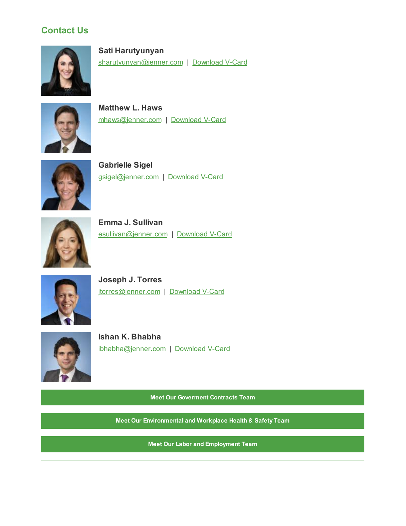# **Contact Us**



**Sati Harutyunyan** [sharutyunyan@jenner.com](mailto:sharutyunyan@jenner.com) | [Download](https://jenner.com/people/948/vcard) V-Card



**Matthew L. Haws** [mhaws@jenner.com](mailto:mhaws@jenner.com) | [Download](https://jenner.com/people/894/vcard) V-Card



**Gabrielle Sigel** [gsigel@jenner.com](mailto:gsigel@jenner.com) | [Download](https://jenner.com/people/279/vcard) V-Card



**Emma J. Sullivan** [esullivan@jenner.com](mailto:esullivan@jenner.com) | [Download](https://jenner.com/people/209/vcard) V-Card



**Joseph J. Torres** [jtorres@jenner.com](mailto:jtorres@jenner.com) | [Download](https://jenner.com/people/1115/vcard) V-Card



**Ishan K. Bhabha** [ibhabha@jenner.com](mailto:ibhabha@jenner.com) | [Download](https://jenner.com/people/617/vcard) V-Card

**Meet Our [Goverment](https://jenner.com/practices/117/attorneys) Contracts Team**

**Meet Our [Environmental](https://jenner.com/practices/114) and Workplace Health & Safety Team**

**Meet Our Labor and [Employment](https://jenner.com/practices/122/attorneys) Team**